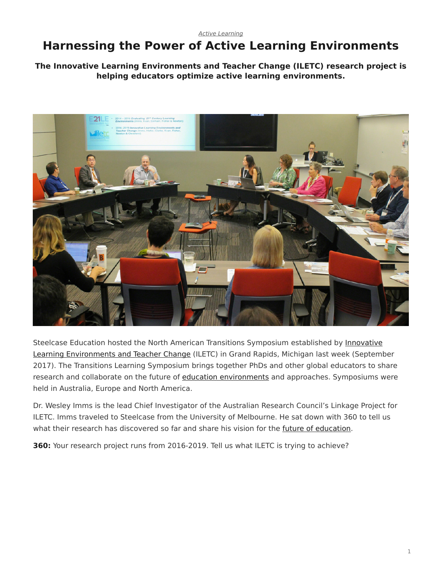#### *[Active Learning](https://www.steelcase.com/research/topics/active-learning/)*

# <span id="page-0-0"></span>**Harnessing the Power of Active Learning Environments**

**The Innovative Learning Environments and Teacher Change (ILETC) research project is helping educators optimize active learning environments.**



Steelcase Education hosted the North American Transitions Symposium established by [Innovative](http://www.iletc.com.au/) [Learning Environments and Teacher Change](http://www.iletc.com.au/) (ILETC) in Grand Rapids, Michigan last week (September 2017). The Transitions Learning Symposium brings together PhDs and other global educators to share research and collaborate on the future of [education environments](https://www.steelcase.com/discover/information/education/) and approaches. Symposiums were held in Australia, Europe and North America.

Dr. Wesley Imms is the lead Chief Investigator of the Australian Research Council's Linkage Project for ILETC. Imms traveled to Steelcase from the University of Melbourne. He sat down with 360 to tell us what their research has discovered so far and share his vision for the [future of education](https://www.steelcase.com/research/articles/how-technology-is-changing-education/).

**360:** Your research project runs from 2016-2019. Tell us what ILETC is trying to achieve?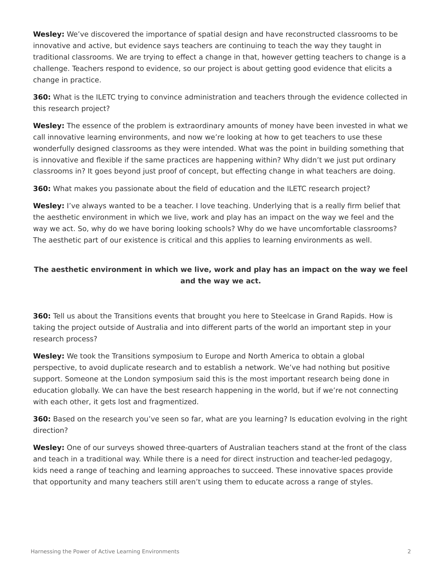**Wesley:** We've discovered the importance of spatial design and have reconstructed classrooms to be innovative and active, but evidence says teachers are continuing to teach the way they taught in traditional classrooms. We are trying to effect a change in that, however getting teachers to change is a challenge. Teachers respond to evidence, so our project is about getting good evidence that elicits a change in practice.

**360:** What is the ILETC trying to convince administration and teachers through the evidence collected in this research project?

**Wesley:** The essence of the problem is extraordinary amounts of money have been invested in what we call innovative learning environments, and now we're looking at how to get teachers to use these wonderfully designed classrooms as they were intended. What was the point in building something that is innovative and flexible if the same practices are happening within? Why didn't we just put ordinary classrooms in? It goes beyond just proof of concept, but effecting change in what teachers are doing.

**360:** What makes you passionate about the field of education and the ILETC research project?

**Wesley:** I've always wanted to be a teacher. I love teaching. Underlying that is a really firm belief that the aesthetic environment in which we live, work and play has an impact on the way we feel and the way we act. So, why do we have boring looking schools? Why do we have uncomfortable classrooms? The aesthetic part of our existence is critical and this applies to learning environments as well.

# **The aesthetic environment in which we live, work and play has an impact on the way we feel and the way we act.**

**360:** Tell us about the Transitions events that brought you here to Steelcase in Grand Rapids. How is taking the project outside of Australia and into different parts of the world an important step in your research process?

**Wesley:** We took the Transitions symposium to Europe and North America to obtain a global perspective, to avoid duplicate research and to establish a network. We've had nothing but positive support. Someone at the London symposium said this is the most important research being done in education globally. We can have the best research happening in the world, but if we're not connecting with each other, it gets lost and fragmentized.

**360:** Based on the research you've seen so far, what are you learning? Is education evolving in the right direction?

**Wesley:** One of our surveys showed three-quarters of Australian teachers stand at the front of the class and teach in a traditional way. While there is a need for direct instruction and teacher-led pedagogy, kids need a range of teaching and learning approaches to succeed. These innovative spaces provide that opportunity and many teachers still aren't using them to educate across a range of styles.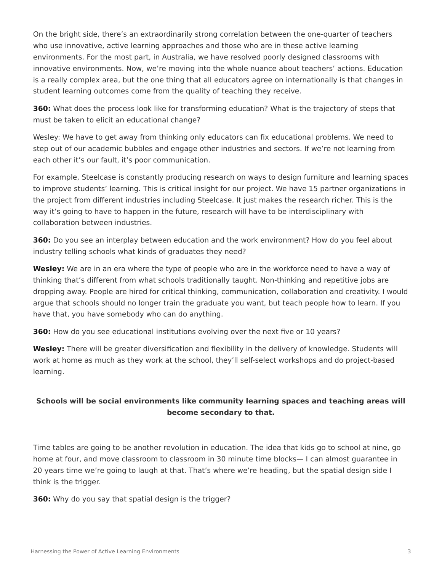On the bright side, there's an extraordinarily strong correlation between the one-quarter of teachers who use innovative, active learning approaches and those who are in these active learning environments. For the most part, in Australia, we have resolved poorly designed classrooms with innovative environments. Now, we're moving into the whole nuance about teachers' actions. Education is a really complex area, but the one thing that all educators agree on internationally is that changes in student learning outcomes come from the quality of teaching they receive.

**360:** What does the process look like for transforming education? What is the trajectory of steps that must be taken to elicit an educational change?

Wesley: We have to get away from thinking only educators can fix educational problems. We need to step out of our academic bubbles and engage other industries and sectors. If we're not learning from each other it's our fault, it's poor communication.

For example, Steelcase is constantly producing research on ways to design furniture and learning spaces to improve students' learning. This is critical insight for our project. We have 15 partner organizations in the project from different industries including Steelcase. It just makes the research richer. This is the way it's going to have to happen in the future, research will have to be interdisciplinary with collaboration between industries.

**360:** Do you see an interplay between education and the work environment? How do you feel about industry telling schools what kinds of graduates they need?

**Wesley:** We are in an era where the type of people who are in the workforce need to have a way of thinking that's different from what schools traditionally taught. Non-thinking and repetitive jobs are dropping away. People are hired for critical thinking, communication, collaboration and creativity. I would argue that schools should no longer train the graduate you want, but teach people how to learn. If you have that, you have somebody who can do anything.

**360:** How do you see educational institutions evolving over the next five or 10 years?

**Wesley:** There will be greater diversification and flexibility in the delivery of knowledge. Students will work at home as much as they work at the school, they'll self-select workshops and do project-based learning.

# **Schools will be social environments like community learning spaces and teaching areas will become secondary to that.**

Time tables are going to be another revolution in education. The idea that kids go to school at nine, go home at four, and move classroom to classroom in 30 minute time blocks— I can almost guarantee in 20 years time we're going to laugh at that. That's where we're heading, but the spatial design side I think is the trigger.

**360:** Why do you say that spatial design is the trigger?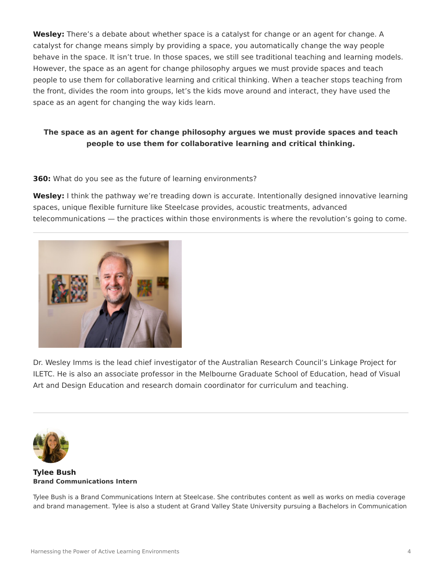**Wesley:** There's a debate about whether space is a catalyst for change or an agent for change. A catalyst for change means simply by providing a space, you automatically change the way people behave in the space. It isn't true. In those spaces, we still see traditional teaching and learning models. However, the space as an agent for change philosophy argues we must provide spaces and teach people to use them for collaborative learning and critical thinking. When a teacher stops teaching from the front, divides the room into groups, let's the kids move around and interact, they have used the space as an agent for changing the way kids learn.

### **The space as an agent for change philosophy argues we must provide spaces and teach people to use them for collaborative learning and critical thinking.**

#### **360:** What do you see as the future of learning environments?

**Wesley:** I think the pathway we're treading down is accurate. Intentionally designed innovative learning spaces, unique flexible furniture like Steelcase provides, acoustic treatments, advanced telecommunications — the practices within those environments is where the revolution's going to come.



Dr. Wesley Imms is the lead chief investigator of the Australian Research Council's Linkage Project for ILETC. He is also an associate professor in the Melbourne Graduate School of Education, head of Visual Art and Design Education and research domain coordinator for curriculum and teaching.



#### **[Tylee Bush](https://www.steelcase.com/research/articles/author/tbush1steelcase-com/) Brand Communications Intern**

Tylee Bush is a Brand Communications Intern at Steelcase. She contributes content as well as works on media coverage and brand management. Tylee is also a student at Grand Valley State University pursuing a Bachelors in Communication